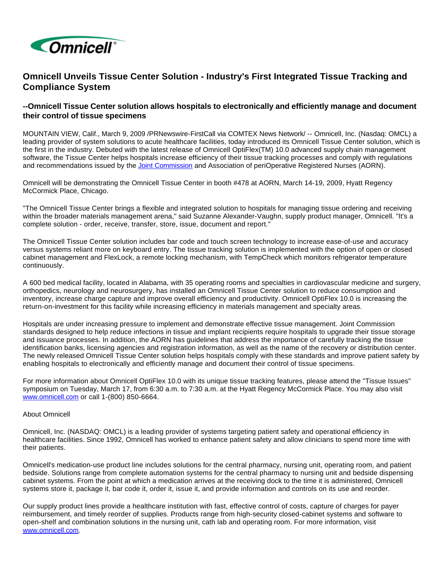

## **Omnicell Unveils Tissue Center Solution - Industry's First Integrated Tissue Tracking and Compliance System**

## **--Omnicell Tissue Center solution allows hospitals to electronically and efficiently manage and document their control of tissue specimens**

MOUNTAIN VIEW, Calif., March 9, 2009 /PRNewswire-FirstCall via COMTEX News Network/ -- Omnicell, Inc. (Nasdaq: OMCL) a leading provider of system solutions to acute healthcare facilities, today introduced its Omnicell Tissue Center solution, which is the first in the industry. Debuted with the latest release of Omnicell OptiFlex(TM) 10.0 advanced supply chain management software, the Tissue Center helps hospitals increase efficiency of their tissue tracking processes and comply with regulations and recommendations issued by the [Joint Commission](http://www.jointcommission.org/) and Association of periOperative Registered Nurses (AORN).

Omnicell will be demonstrating the Omnicell Tissue Center in booth #478 at AORN, March 14-19, 2009, Hyatt Regency McCormick Place, Chicago.

"The Omnicell Tissue Center brings a flexible and integrated solution to hospitals for managing tissue ordering and receiving within the broader materials management arena," said Suzanne Alexander-Vaughn, supply product manager, Omnicell. "It's a complete solution - order, receive, transfer, store, issue, document and report."

The Omnicell Tissue Center solution includes bar code and touch screen technology to increase ease-of-use and accuracy versus systems reliant more on keyboard entry. The tissue tracking solution is implemented with the option of open or closed cabinet management and FlexLock, a remote locking mechanism, with TempCheck which monitors refrigerator temperature continuously.

A 600 bed medical facility, located in Alabama, with 35 operating rooms and specialties in cardiovascular medicine and surgery, orthopedics, neurology and neurosurgery, has installed an Omnicell Tissue Center solution to reduce consumption and inventory, increase charge capture and improve overall efficiency and productivity. Omnicell OptiFlex 10.0 is increasing the return-on-investment for this facility while increasing efficiency in materials management and specialty areas.

Hospitals are under increasing pressure to implement and demonstrate effective tissue management. Joint Commission standards designed to help reduce infections in tissue and implant recipients require hospitals to upgrade their tissue storage and issuance processes. In addition, the AORN has guidelines that address the importance of carefully tracking the tissue identification banks, licensing agencies and registration information, as well as the name of the recovery or distribution center. The newly released Omnicell Tissue Center solution helps hospitals comply with these standards and improve patient safety by enabling hospitals to electronically and efficiently manage and document their control of tissue specimens.

For more information about Omnicell OptiFlex 10.0 with its unique tissue tracking features, please attend the "Tissue Issues" symposium on Tuesday, March 17, from 6:30 a.m. to 7:30 a.m. at the Hyatt Regency McCormick Place. You may also visit [www.omnicell.com](http://www.omnicell.com/) or call 1-(800) 850-6664.

## About Omnicell

Omnicell, Inc. (NASDAQ: OMCL) is a leading provider of systems targeting patient safety and operational efficiency in healthcare facilities. Since 1992, Omnicell has worked to enhance patient safety and allow clinicians to spend more time with their patients.

Omnicell's medication-use product line includes solutions for the central pharmacy, nursing unit, operating room, and patient bedside. Solutions range from complete automation systems for the central pharmacy to nursing unit and bedside dispensing cabinet systems. From the point at which a medication arrives at the receiving dock to the time it is administered, Omnicell systems store it, package it, bar code it, order it, issue it, and provide information and controls on its use and reorder.

Our supply product lines provide a healthcare institution with fast, effective control of costs, capture of charges for payer reimbursement, and timely reorder of supplies. Products range from high-security closed-cabinet systems and software to open-shelf and combination solutions in the nursing unit, cath lab and operating room. For more information, visit [www.omnicell.com.](http://www.omnicell.com/)